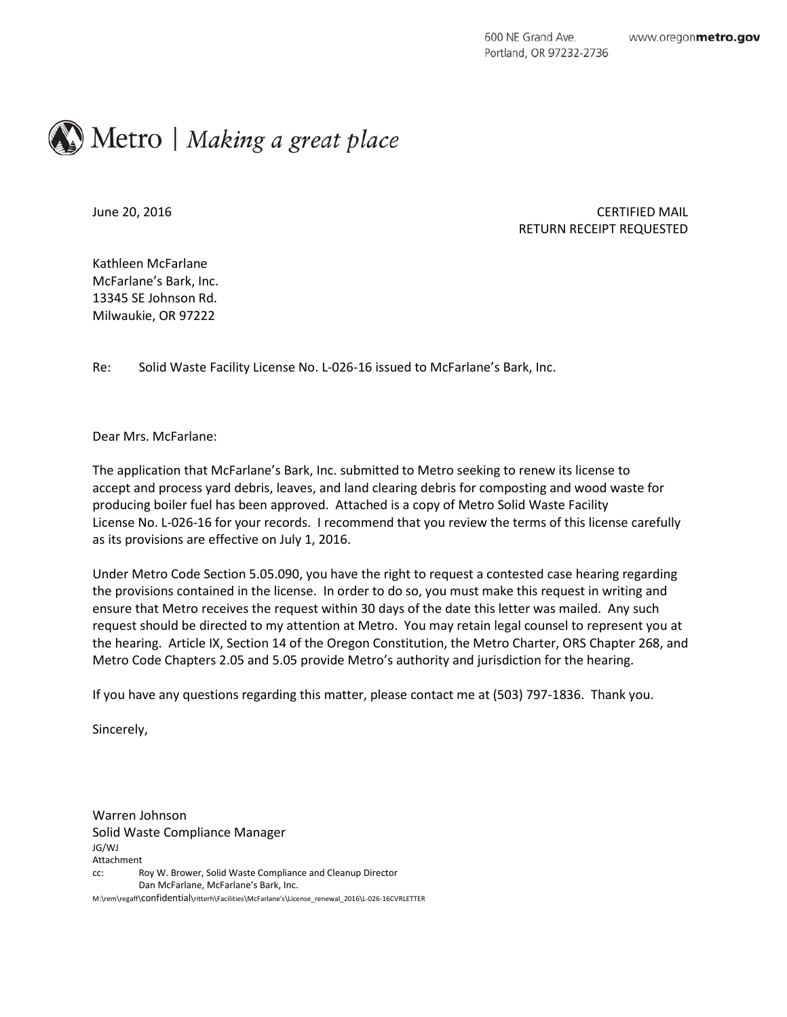## Metro | Making a great place

## June 20, 2016 CERTIFIED MAIL RETURN RECEIPT REQUESTED

Kathleen McFarlane McFarlane's Bark, Inc. 13345 SE Johnson Rd. Milwaukie, OR 97222

Re: Solid Waste Facility License No. L-026-16 issued to McFarlane's Bark, Inc.

Dear Mrs. McFarlane:

The application that McFarlane's Bark, Inc. submitted to Metro seeking to renew its license to accept and process yard debris, leaves, and land clearing debris for composting and wood waste for producing boiler fuel has been approved. Attached is a copy of Metro Solid Waste Facility License No. L-026-16 for your records. I recommend that you review the terms of this license carefully as its provisions are effective on July 1, 2016.

Under Metro Code Section 5.05.090, you have the right to request a contested case hearing regarding the provisions contained in the license. In order to do so, you must make this request in writing and ensure that Metro receives the request within 30 days of the date this letter was mailed. Any such request should be directed to my attention at Metro. You may retain legal counsel to represent you at the hearing. Article IX, Section 14 of the Oregon Constitution, the Metro Charter, ORS Chapter 268, and Metro Code Chapters 2.05 and 5.05 provide Metro's authority and jurisdiction for the hearing.

If you have any questions regarding this matter, please contact me at (503) 797-1836. Thank you.

Sincerely,

Warren Johnson Solid Waste Compliance Manager JG/WJ Attachment cc: Roy W. Brower, Solid Waste Compliance and Cleanup Director Dan McFarlane, McFarlane's Bark, Inc. M:\rem\regaff\confidential\ritterh\Facilities\McFarlane's\License\_renewal\_2016\L-026-16CVRLETTER